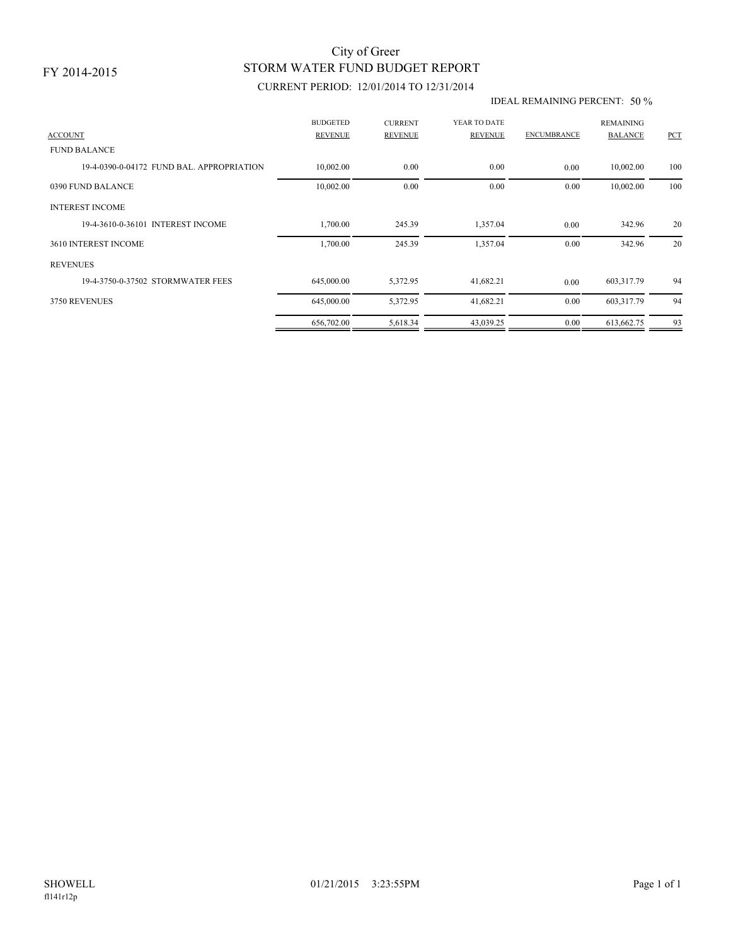## STORM WATER FUND BUDGET REPORT City of Greer

## CURRENT PERIOD: 12/01/2014 TO 12/31/2014

#### IDEAL REMAINING PERCENT: 50 %

| <b>ACCOUNT</b>                           | <b>BUDGETED</b><br><b>REVENUE</b> | <b>CURRENT</b><br><b>REVENUE</b> | YEAR TO DATE<br><b>REVENUE</b> | <b>ENCUMBRANCE</b> | <b>REMAINING</b><br><b>BALANCE</b> | PCT |
|------------------------------------------|-----------------------------------|----------------------------------|--------------------------------|--------------------|------------------------------------|-----|
| <b>FUND BALANCE</b>                      |                                   |                                  |                                |                    |                                    |     |
| 19-4-0390-0-04172 FUND BAL APPROPRIATION | 10,002.00                         | 0.00                             | 0.00                           | 0.00               | 10,002.00                          | 100 |
| 0390 FUND BALANCE                        | 10,002.00                         | 0.00                             | 0.00                           | 0.00               | 10,002.00                          | 100 |
| <b>INTEREST INCOME</b>                   |                                   |                                  |                                |                    |                                    |     |
| 19-4-3610-0-36101 INTEREST INCOME        | 1,700.00                          | 245.39                           | 1,357.04                       | 0.00               | 342.96                             | 20  |
| 3610 INTEREST INCOME                     | 1,700.00                          | 245.39                           | 1,357.04                       | 0.00               | 342.96                             | 20  |
| <b>REVENUES</b>                          |                                   |                                  |                                |                    |                                    |     |
| 19-4-3750-0-37502 STORMWATER FEES        | 645,000.00                        | 5,372.95                         | 41,682.21                      | 0.00               | 603,317.79                         | 94  |
| 3750 REVENUES                            | 645,000.00                        | 5,372.95                         | 41,682.21                      | 0.00               | 603,317.79                         | 94  |
|                                          | 656,702.00                        | 5,618.34                         | 43,039.25                      | 0.00               | 613,662.75                         | 93  |